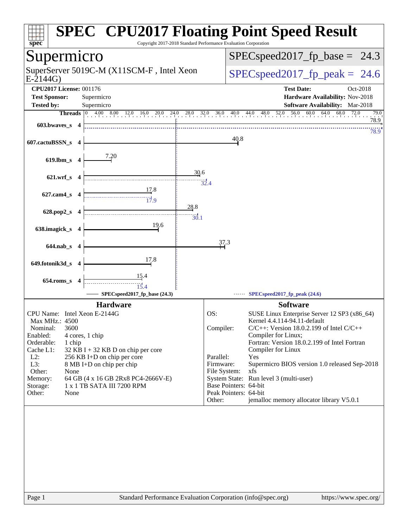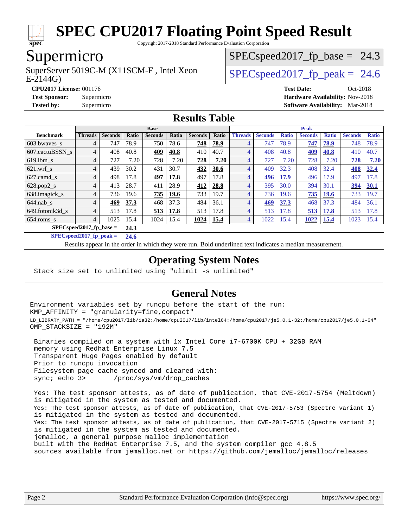

Copyright 2017-2018 Standard Performance Evaluation Corporation

### Supermicro

SuperServer 5019C-M (X11SCM-F, Intel Xeon<br>E-2144G)

 $SPECspeed2017_fp\_base = 24.3$ 

#### $SPECspeed2017_fp\_peak = 24.6$

**[CPU2017 License:](http://www.spec.org/auto/cpu2017/Docs/result-fields.html#CPU2017License)** 001176 **[Test Date:](http://www.spec.org/auto/cpu2017/Docs/result-fields.html#TestDate)** Oct-2018 **[Test Sponsor:](http://www.spec.org/auto/cpu2017/Docs/result-fields.html#TestSponsor)** Supermicro **[Hardware Availability:](http://www.spec.org/auto/cpu2017/Docs/result-fields.html#HardwareAvailability)** Nov-2018 **[Tested by:](http://www.spec.org/auto/cpu2017/Docs/result-fields.html#Testedby)** Supermicro **[Software Availability:](http://www.spec.org/auto/cpu2017/Docs/result-fields.html#SoftwareAvailability)** Mar-2018

#### **[Results Table](http://www.spec.org/auto/cpu2017/Docs/result-fields.html#ResultsTable)**

|                            | <b>Base</b>    |                |       |                |       |                |       |                | <b>Peak</b>    |              |                |              |                |              |  |
|----------------------------|----------------|----------------|-------|----------------|-------|----------------|-------|----------------|----------------|--------------|----------------|--------------|----------------|--------------|--|
| <b>Benchmark</b>           | <b>Threads</b> | <b>Seconds</b> | Ratio | <b>Seconds</b> | Ratio | <b>Seconds</b> | Ratio | <b>Threads</b> | <b>Seconds</b> | <b>Ratio</b> | <b>Seconds</b> | <b>Ratio</b> | <b>Seconds</b> | <b>Ratio</b> |  |
| 603.bwayes s               | 4              | 747            | 78.9  | 750            | 78.6  | 748            | 78.9  | $\overline{4}$ | 747            | 78.9         | 747            | 78.9         | 748            | 78.9         |  |
| 607.cactuBSSN s            | 4              | 408            | 40.8  | <u>409</u>     | 40.8  | 410            | 40.7  | $\overline{4}$ | 408            | 40.8         | <u>409</u>     | 40.8         | 410            | 40.7         |  |
| $619.1$ bm s               | $\overline{4}$ | 727            | 7.20  | 728            | 7.20  | 728            | 7.20  | $\overline{4}$ | 727            | 7.20         | 728            | 7.20         | 728            | 7.20         |  |
| $621$ .wrf s               | 4              | 439            | 30.2  | 431            | 30.7  | 432            | 30.6  | $\overline{4}$ | 409            | 32.3         | 408            | 32.4         | 408            | 32.4         |  |
| $627$ .cam $4$ s           | $\overline{4}$ | 498            | 17.8  | 497            | 17.8  | 497            | 17.8  | $\overline{4}$ | 496            | 17.9         | 496            | 17.9         | 497            | 17.8         |  |
| $628.pop2_s$               | 4              | 413            | 28.7  | 411            | 28.9  | 412            | 28.8  | $\overline{4}$ | 395            | 30.0         | 394            | 30.1         | 394            | 30.1         |  |
| 638. imagick_s             | 4              | 736            | 19.6  | 735            | 19.6  | 733            | 19.7  | $\overline{4}$ | 736            | 19.6         | 735            | <b>19.6</b>  | 733            | 19.7         |  |
| $644$ .nab s               | 4              | 469            | 37.3  | 468            | 37.3  | 484            | 36.1  | $\overline{4}$ | 469            | 37.3         | 468            | 37.3         | 484            | 36.1         |  |
| 649.fotonik3d s            | 4              | 513            | 17.8  | 513            | 17.8  | 513            | 17.8  | 4              | 513            | 17.8         | 513            | 17.8         | 513            | 17.8         |  |
| $654$ .roms s              | 4              | 1025           | 15.4  | 1024           | 15.4  | 1024           | 15.4  | 4              | 1022           | 15.4         | <u>1022</u>    | <b>15.4</b>  | 1023           | 15.4         |  |
| $SPEC speed2017$ fp base = | 24.3           |                |       |                |       |                |       |                |                |              |                |              |                |              |  |

**[SPECspeed2017\\_fp\\_peak =](http://www.spec.org/auto/cpu2017/Docs/result-fields.html#SPECspeed2017fppeak) 24.6**

Results appear in the [order in which they were run.](http://www.spec.org/auto/cpu2017/Docs/result-fields.html#RunOrder) Bold underlined text [indicates a median measurement](http://www.spec.org/auto/cpu2017/Docs/result-fields.html#Median).

#### **[Operating System Notes](http://www.spec.org/auto/cpu2017/Docs/result-fields.html#OperatingSystemNotes)**

Stack size set to unlimited using "ulimit -s unlimited"

#### **[General Notes](http://www.spec.org/auto/cpu2017/Docs/result-fields.html#GeneralNotes)**

Environment variables set by runcpu before the start of the run: KMP\_AFFINITY = "granularity=fine,compact" LD\_LIBRARY\_PATH = "/home/cpu2017/lib/ia32:/home/cpu2017/lib/intel64:/home/cpu2017/je5.0.1-32:/home/cpu2017/je5.0.1-64" OMP\_STACKSIZE = "192M"

 Binaries compiled on a system with 1x Intel Core i7-6700K CPU + 32GB RAM memory using Redhat Enterprise Linux 7.5 Transparent Huge Pages enabled by default Prior to runcpu invocation Filesystem page cache synced and cleared with: sync; echo 3> /proc/sys/vm/drop\_caches

 Yes: The test sponsor attests, as of date of publication, that CVE-2017-5754 (Meltdown) is mitigated in the system as tested and documented. Yes: The test sponsor attests, as of date of publication, that CVE-2017-5753 (Spectre variant 1) is mitigated in the system as tested and documented. Yes: The test sponsor attests, as of date of publication, that CVE-2017-5715 (Spectre variant 2) is mitigated in the system as tested and documented. jemalloc, a general purpose malloc implementation built with the RedHat Enterprise 7.5, and the system compiler gcc 4.8.5 sources available from jemalloc.net or <https://github.com/jemalloc/jemalloc/releases>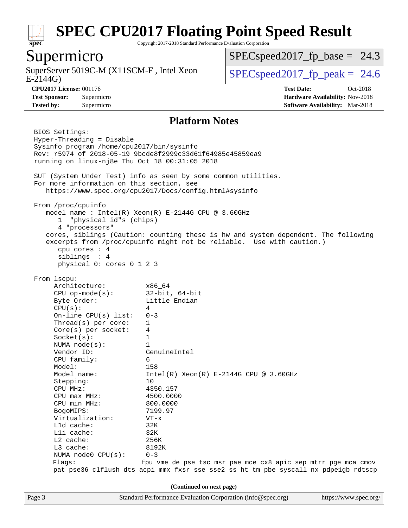

Copyright 2017-2018 Standard Performance Evaluation Corporation

#### Supermicro

SuperServer 5019C-M (X11SCM-F, Intel Xeon E-2144G)

 $SPECspeed2017_fp\_base = 24.3$ 

 $SPECspeed2017_f p\_peak = 24.6$ 

**[CPU2017 License:](http://www.spec.org/auto/cpu2017/Docs/result-fields.html#CPU2017License)** 001176 **[Test Date:](http://www.spec.org/auto/cpu2017/Docs/result-fields.html#TestDate)** Oct-2018 **[Test Sponsor:](http://www.spec.org/auto/cpu2017/Docs/result-fields.html#TestSponsor)** Supermicro **[Hardware Availability:](http://www.spec.org/auto/cpu2017/Docs/result-fields.html#HardwareAvailability)** Nov-2018 **[Tested by:](http://www.spec.org/auto/cpu2017/Docs/result-fields.html#Testedby)** Supermicro **[Software Availability:](http://www.spec.org/auto/cpu2017/Docs/result-fields.html#SoftwareAvailability)** Mar-2018

#### **[Platform Notes](http://www.spec.org/auto/cpu2017/Docs/result-fields.html#PlatformNotes)**

Page 3 Standard Performance Evaluation Corporation [\(info@spec.org\)](mailto:info@spec.org) <https://www.spec.org/> BIOS Settings: Hyper-Threading = Disable Sysinfo program /home/cpu2017/bin/sysinfo Rev: r5974 of 2018-05-19 9bcde8f2999c33d61f64985e45859ea9 running on linux-nj8e Thu Oct 18 00:31:05 2018 SUT (System Under Test) info as seen by some common utilities. For more information on this section, see <https://www.spec.org/cpu2017/Docs/config.html#sysinfo> From /proc/cpuinfo model name : Intel(R) Xeon(R) E-2144G CPU @ 3.60GHz 1 "physical id"s (chips) 4 "processors" cores, siblings (Caution: counting these is hw and system dependent. The following excerpts from /proc/cpuinfo might not be reliable. Use with caution.) cpu cores : 4 siblings : 4 physical 0: cores 0 1 2 3 From lscpu: Architecture: x86\_64 CPU op-mode(s): 32-bit, 64-bit Byte Order: Little Endian  $CPU(s):$  4 On-line CPU(s) list: 0-3 Thread(s) per core: 1 Core(s) per socket: 4 Socket(s): 1 NUMA node(s): 1 Vendor ID: GenuineIntel CPU family: 6 Model: 158 Model name:  $Intel(R)$  Xeon(R) E-2144G CPU @ 3.60GHz Stepping: 10 CPU MHz: 4350.157 CPU max MHz: 4500.0000 CPU min MHz: 800.0000 BogoMIPS: 7199.97 Virtualization: VT-x L1d cache: 32K L1i cache: 32K L2 cache: 256K L3 cache: 8192K NUMA node0 CPU(s): 0-3 Flags: fpu vme de pse tsc msr pae mce cx8 apic sep mtrr pge mca cmov pat pse36 clflush dts acpi mmx fxsr sse sse2 ss ht tm pbe syscall nx pdpe1gb rdtscp **(Continued on next page)**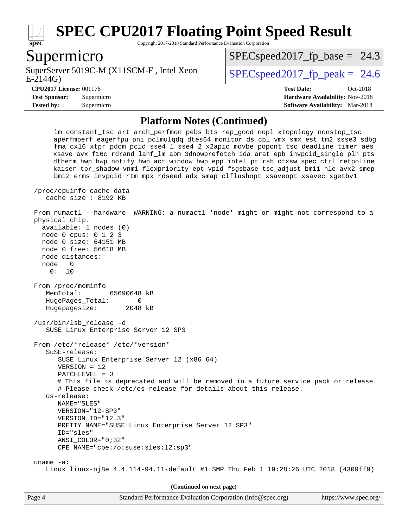

Copyright 2017-2018 Standard Performance Evaluation Corporation

#### Supermicro

E-2144G) SuperServer 5019C-M (X11SCM-F, Intel Xeon  $SPEC speed2017$  fp\_peak = 24.6

 $SPECspeed2017_fp\_base = 24.3$ 

**[Tested by:](http://www.spec.org/auto/cpu2017/Docs/result-fields.html#Testedby)** Supermicro **[Software Availability:](http://www.spec.org/auto/cpu2017/Docs/result-fields.html#SoftwareAvailability)** Mar-2018

**[CPU2017 License:](http://www.spec.org/auto/cpu2017/Docs/result-fields.html#CPU2017License)** 001176 **[Test Date:](http://www.spec.org/auto/cpu2017/Docs/result-fields.html#TestDate)** Oct-2018 **[Test Sponsor:](http://www.spec.org/auto/cpu2017/Docs/result-fields.html#TestSponsor)** Supermicro **[Hardware Availability:](http://www.spec.org/auto/cpu2017/Docs/result-fields.html#HardwareAvailability)** Nov-2018

#### **[Platform Notes \(Continued\)](http://www.spec.org/auto/cpu2017/Docs/result-fields.html#PlatformNotes)**

 lm constant\_tsc art arch\_perfmon pebs bts rep\_good nopl xtopology nonstop\_tsc aperfmperf eagerfpu pni pclmulqdq dtes64 monitor ds\_cpl vmx smx est tm2 ssse3 sdbg fma cx16 xtpr pdcm pcid sse4\_1 sse4\_2 x2apic movbe popcnt tsc\_deadline\_timer aes xsave avx f16c rdrand lahf\_lm abm 3dnowprefetch ida arat epb invpcid\_single pln pts dtherm hwp hwp\_notify hwp\_act\_window hwp\_epp intel\_pt rsb\_ctxsw spec\_ctrl retpoline kaiser tpr\_shadow vnmi flexpriority ept vpid fsgsbase tsc\_adjust bmi1 hle avx2 smep bmi2 erms invpcid rtm mpx rdseed adx smap clflushopt xsaveopt xsavec xgetbv1 /proc/cpuinfo cache data cache size : 8192 KB From numactl --hardware WARNING: a numactl 'node' might or might not correspond to a physical chip. available: 1 nodes (0) node 0 cpus: 0 1 2 3 node 0 size: 64151 MB node 0 free: 56618 MB node distances: node 0 0: 10 From /proc/meminfo MemTotal: 65690648 kB HugePages Total: 0 Hugepagesize: 2048 kB /usr/bin/lsb\_release -d SUSE Linux Enterprise Server 12 SP3 From /etc/\*release\* /etc/\*version\* SuSE-release: SUSE Linux Enterprise Server 12 (x86\_64) VERSION = 12 PATCHLEVEL = 3 # This file is deprecated and will be removed in a future service pack or release. # Please check /etc/os-release for details about this release. os-release: NAME="SLES" VERSION="12-SP3" VERSION\_ID="12.3" PRETTY\_NAME="SUSE Linux Enterprise Server 12 SP3" ID="sles" ANSI\_COLOR="0;32" CPE\_NAME="cpe:/o:suse:sles:12:sp3" uname -a: Linux linux-nj8e 4.4.114-94.11-default #1 SMP Thu Feb 1 19:28:26 UTC 2018 (4309ff9) **(Continued on next page)**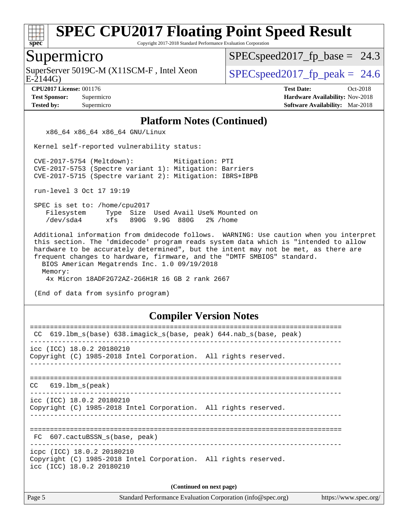

Copyright 2017-2018 Standard Performance Evaluation Corporation

#### Supermicro

E-2144G) SuperServer 5019C-M (X11SCM-F, Intel Xeon  $\vert$  [SPECspeed2017\\_fp\\_peak =](http://www.spec.org/auto/cpu2017/Docs/result-fields.html#SPECspeed2017fppeak) 24.6

 $SPECspeed2017_fp\_base = 24.3$ 

**[CPU2017 License:](http://www.spec.org/auto/cpu2017/Docs/result-fields.html#CPU2017License)** 001176 **[Test Date:](http://www.spec.org/auto/cpu2017/Docs/result-fields.html#TestDate)** Oct-2018 **[Test Sponsor:](http://www.spec.org/auto/cpu2017/Docs/result-fields.html#TestSponsor)** Supermicro **[Hardware Availability:](http://www.spec.org/auto/cpu2017/Docs/result-fields.html#HardwareAvailability)** Nov-2018 **[Tested by:](http://www.spec.org/auto/cpu2017/Docs/result-fields.html#Testedby)** Supermicro **[Software Availability:](http://www.spec.org/auto/cpu2017/Docs/result-fields.html#SoftwareAvailability)** Mar-2018

#### **[Platform Notes \(Continued\)](http://www.spec.org/auto/cpu2017/Docs/result-fields.html#PlatformNotes)**

x86\_64 x86\_64 x86\_64 GNU/Linux

Kernel self-reported vulnerability status:

 CVE-2017-5754 (Meltdown): Mitigation: PTI CVE-2017-5753 (Spectre variant 1): Mitigation: Barriers CVE-2017-5715 (Spectre variant 2): Mitigation: IBRS+IBPB

run-level 3 Oct 17 19:19

 SPEC is set to: /home/cpu2017 Filesystem Type Size Used Avail Use% Mounted on /dev/sda4 xfs 890G 9.9G 880G 2% /home

 Additional information from dmidecode follows. WARNING: Use caution when you interpret this section. The 'dmidecode' program reads system data which is "intended to allow hardware to be accurately determined", but the intent may not be met, as there are frequent changes to hardware, firmware, and the "DMTF SMBIOS" standard. BIOS American Megatrends Inc. 1.0 09/19/2018

Memory:

4x Micron 18ADF2G72AZ-2G6H1R 16 GB 2 rank 2667

(End of data from sysinfo program)

#### **[Compiler Version Notes](http://www.spec.org/auto/cpu2017/Docs/result-fields.html#CompilerVersionNotes)**

| 619.1bm_s(base) 638.imagick_s(base, peak) 644.nab_s(base, peak)<br>CC                                                      |  |  |  |  |  |
|----------------------------------------------------------------------------------------------------------------------------|--|--|--|--|--|
| $\text{icc}$ (ICC) 18.0.2 20180210<br>Copyright (C) 1985-2018 Intel Corporation. All rights reserved.                      |  |  |  |  |  |
| $CC$ 619.1bm $s$ (peak)                                                                                                    |  |  |  |  |  |
| icc (ICC) 18.0.2 20180210<br>Copyright (C) 1985-2018 Intel Corporation. All rights reserved.                               |  |  |  |  |  |
| FC 607.cactuBSSN s(base, peak)                                                                                             |  |  |  |  |  |
| icpc (ICC) 18.0.2 20180210<br>Copyright (C) 1985-2018 Intel Corporation. All rights reserved.<br>icc (ICC) 18.0.2 20180210 |  |  |  |  |  |
| (Continued on next page)                                                                                                   |  |  |  |  |  |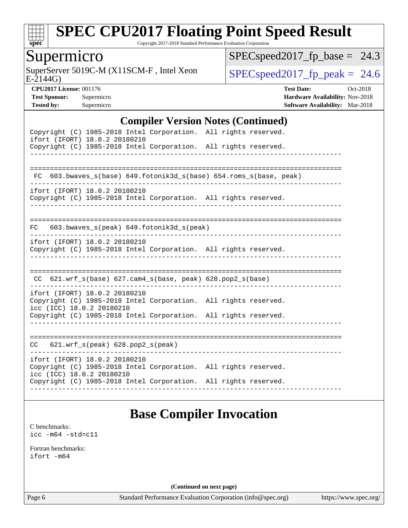

Copyright 2017-2018 Standard Performance Evaluation Corporation

#### Supermicro

E-2144G) SuperServer 5019C-M (X11SCM-F, Intel Xeon  $SPEC speed2017_fp\_peak = 24.6$ 

 $SPEC speed2017_fp\_base = 24.3$ 

**[CPU2017 License:](http://www.spec.org/auto/cpu2017/Docs/result-fields.html#CPU2017License)** 001176 **[Test Date:](http://www.spec.org/auto/cpu2017/Docs/result-fields.html#TestDate)** Oct-2018 **[Test Sponsor:](http://www.spec.org/auto/cpu2017/Docs/result-fields.html#TestSponsor)** Supermicro **[Hardware Availability:](http://www.spec.org/auto/cpu2017/Docs/result-fields.html#HardwareAvailability)** Nov-2018 **[Tested by:](http://www.spec.org/auto/cpu2017/Docs/result-fields.html#Testedby)** Supermicro **[Software Availability:](http://www.spec.org/auto/cpu2017/Docs/result-fields.html#SoftwareAvailability)** Mar-2018

#### **[Compiler Version Notes \(Continued\)](http://www.spec.org/auto/cpu2017/Docs/result-fields.html#CompilerVersionNotes)**

| Copyright (C) 1985-2018 Intel Corporation. All rights reserved.<br>ifort (IFORT) 18.0.2 20180210<br>Copyright (C) 1985-2018 Intel Corporation. All rights reserved.                              |  |
|--------------------------------------------------------------------------------------------------------------------------------------------------------------------------------------------------|--|
| FC 603.bwaves_s(base) 649.fotonik3d_s(base) 654.roms_s(base, peak)                                                                                                                               |  |
| ifort (IFORT) 18.0.2 20180210<br>Copyright (C) 1985-2018 Intel Corporation. All rights reserved.                                                                                                 |  |
| 603.bwaves_s(peak) 649.fotonik3d_s(peak)<br>FC                                                                                                                                                   |  |
| ifort (IFORT) 18.0.2 20180210<br>Copyright (C) 1985-2018 Intel Corporation. All rights reserved.                                                                                                 |  |
| CC 621.wrf_s(base) 627.cam4_s(base, peak) 628.pop2_s(base)                                                                                                                                       |  |
| ifort (IFORT) 18.0.2 20180210<br>Copyright (C) 1985-2018 Intel Corporation. All rights reserved.<br>icc (ICC) 18.0.2 20180210                                                                    |  |
| Copyright (C) 1985-2018 Intel Corporation. All rights reserved.                                                                                                                                  |  |
| 621.wrf_s(peak) 628.pop2_s(peak)<br>CC                                                                                                                                                           |  |
| ifort (IFORT) 18.0.2 20180210<br>Copyright (C) 1985-2018 Intel Corporation. All rights reserved.<br>icc (ICC) 18.0.2 20180210<br>Copyright (C) 1985-2018 Intel Corporation. All rights reserved. |  |
|                                                                                                                                                                                                  |  |

### **[Base Compiler Invocation](http://www.spec.org/auto/cpu2017/Docs/result-fields.html#BaseCompilerInvocation)**

[C benchmarks](http://www.spec.org/auto/cpu2017/Docs/result-fields.html#Cbenchmarks): [icc -m64 -std=c11](http://www.spec.org/cpu2017/results/res2018q4/cpu2017-20181112-09597.flags.html#user_CCbase_intel_icc_64bit_c11_33ee0cdaae7deeeab2a9725423ba97205ce30f63b9926c2519791662299b76a0318f32ddfffdc46587804de3178b4f9328c46fa7c2b0cd779d7a61945c91cd35)

[Fortran benchmarks](http://www.spec.org/auto/cpu2017/Docs/result-fields.html#Fortranbenchmarks): [ifort -m64](http://www.spec.org/cpu2017/results/res2018q4/cpu2017-20181112-09597.flags.html#user_FCbase_intel_ifort_64bit_24f2bb282fbaeffd6157abe4f878425411749daecae9a33200eee2bee2fe76f3b89351d69a8130dd5949958ce389cf37ff59a95e7a40d588e8d3a57e0c3fd751)

**(Continued on next page)**

Page 6 Standard Performance Evaluation Corporation [\(info@spec.org\)](mailto:info@spec.org) <https://www.spec.org/>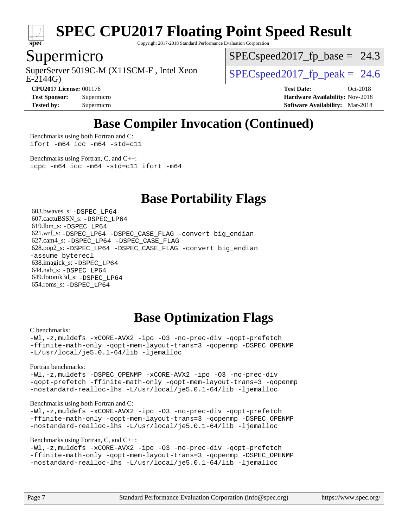

Copyright 2017-2018 Standard Performance Evaluation Corporation

#### Supermicro

E-2144G) SuperServer 5019C-M (X11SCM-F, Intel Xeon  $\vert$  [SPECspeed2017\\_fp\\_peak =](http://www.spec.org/auto/cpu2017/Docs/result-fields.html#SPECspeed2017fppeak) 24.6

 $SPECspeed2017_fp\_base = 24.3$ 

**[CPU2017 License:](http://www.spec.org/auto/cpu2017/Docs/result-fields.html#CPU2017License)** 001176 **[Test Date:](http://www.spec.org/auto/cpu2017/Docs/result-fields.html#TestDate)** Oct-2018 **[Test Sponsor:](http://www.spec.org/auto/cpu2017/Docs/result-fields.html#TestSponsor)** Supermicro **[Hardware Availability:](http://www.spec.org/auto/cpu2017/Docs/result-fields.html#HardwareAvailability)** Nov-2018 **[Tested by:](http://www.spec.org/auto/cpu2017/Docs/result-fields.html#Testedby)** Supermicro **[Software Availability:](http://www.spec.org/auto/cpu2017/Docs/result-fields.html#SoftwareAvailability)** Mar-2018

## **[Base Compiler Invocation \(Continued\)](http://www.spec.org/auto/cpu2017/Docs/result-fields.html#BaseCompilerInvocation)**

[Benchmarks using both Fortran and C](http://www.spec.org/auto/cpu2017/Docs/result-fields.html#BenchmarksusingbothFortranandC): [ifort -m64](http://www.spec.org/cpu2017/results/res2018q4/cpu2017-20181112-09597.flags.html#user_CC_FCbase_intel_ifort_64bit_24f2bb282fbaeffd6157abe4f878425411749daecae9a33200eee2bee2fe76f3b89351d69a8130dd5949958ce389cf37ff59a95e7a40d588e8d3a57e0c3fd751) [icc -m64 -std=c11](http://www.spec.org/cpu2017/results/res2018q4/cpu2017-20181112-09597.flags.html#user_CC_FCbase_intel_icc_64bit_c11_33ee0cdaae7deeeab2a9725423ba97205ce30f63b9926c2519791662299b76a0318f32ddfffdc46587804de3178b4f9328c46fa7c2b0cd779d7a61945c91cd35)

[Benchmarks using Fortran, C, and C++:](http://www.spec.org/auto/cpu2017/Docs/result-fields.html#BenchmarksusingFortranCandCXX) [icpc -m64](http://www.spec.org/cpu2017/results/res2018q4/cpu2017-20181112-09597.flags.html#user_CC_CXX_FCbase_intel_icpc_64bit_4ecb2543ae3f1412ef961e0650ca070fec7b7afdcd6ed48761b84423119d1bf6bdf5cad15b44d48e7256388bc77273b966e5eb805aefd121eb22e9299b2ec9d9) [icc -m64 -std=c11](http://www.spec.org/cpu2017/results/res2018q4/cpu2017-20181112-09597.flags.html#user_CC_CXX_FCbase_intel_icc_64bit_c11_33ee0cdaae7deeeab2a9725423ba97205ce30f63b9926c2519791662299b76a0318f32ddfffdc46587804de3178b4f9328c46fa7c2b0cd779d7a61945c91cd35) [ifort -m64](http://www.spec.org/cpu2017/results/res2018q4/cpu2017-20181112-09597.flags.html#user_CC_CXX_FCbase_intel_ifort_64bit_24f2bb282fbaeffd6157abe4f878425411749daecae9a33200eee2bee2fe76f3b89351d69a8130dd5949958ce389cf37ff59a95e7a40d588e8d3a57e0c3fd751)

#### **[Base Portability Flags](http://www.spec.org/auto/cpu2017/Docs/result-fields.html#BasePortabilityFlags)**

 603.bwaves\_s: [-DSPEC\\_LP64](http://www.spec.org/cpu2017/results/res2018q4/cpu2017-20181112-09597.flags.html#suite_basePORTABILITY603_bwaves_s_DSPEC_LP64) 607.cactuBSSN\_s: [-DSPEC\\_LP64](http://www.spec.org/cpu2017/results/res2018q4/cpu2017-20181112-09597.flags.html#suite_basePORTABILITY607_cactuBSSN_s_DSPEC_LP64) 619.lbm\_s: [-DSPEC\\_LP64](http://www.spec.org/cpu2017/results/res2018q4/cpu2017-20181112-09597.flags.html#suite_basePORTABILITY619_lbm_s_DSPEC_LP64) 621.wrf\_s: [-DSPEC\\_LP64](http://www.spec.org/cpu2017/results/res2018q4/cpu2017-20181112-09597.flags.html#suite_basePORTABILITY621_wrf_s_DSPEC_LP64) [-DSPEC\\_CASE\\_FLAG](http://www.spec.org/cpu2017/results/res2018q4/cpu2017-20181112-09597.flags.html#b621.wrf_s_baseCPORTABILITY_DSPEC_CASE_FLAG) [-convert big\\_endian](http://www.spec.org/cpu2017/results/res2018q4/cpu2017-20181112-09597.flags.html#user_baseFPORTABILITY621_wrf_s_convert_big_endian_c3194028bc08c63ac5d04de18c48ce6d347e4e562e8892b8bdbdc0214820426deb8554edfa529a3fb25a586e65a3d812c835984020483e7e73212c4d31a38223) 627.cam4\_s: [-DSPEC\\_LP64](http://www.spec.org/cpu2017/results/res2018q4/cpu2017-20181112-09597.flags.html#suite_basePORTABILITY627_cam4_s_DSPEC_LP64) [-DSPEC\\_CASE\\_FLAG](http://www.spec.org/cpu2017/results/res2018q4/cpu2017-20181112-09597.flags.html#b627.cam4_s_baseCPORTABILITY_DSPEC_CASE_FLAG) 628.pop2\_s: [-DSPEC\\_LP64](http://www.spec.org/cpu2017/results/res2018q4/cpu2017-20181112-09597.flags.html#suite_basePORTABILITY628_pop2_s_DSPEC_LP64) [-DSPEC\\_CASE\\_FLAG](http://www.spec.org/cpu2017/results/res2018q4/cpu2017-20181112-09597.flags.html#b628.pop2_s_baseCPORTABILITY_DSPEC_CASE_FLAG) [-convert big\\_endian](http://www.spec.org/cpu2017/results/res2018q4/cpu2017-20181112-09597.flags.html#user_baseFPORTABILITY628_pop2_s_convert_big_endian_c3194028bc08c63ac5d04de18c48ce6d347e4e562e8892b8bdbdc0214820426deb8554edfa529a3fb25a586e65a3d812c835984020483e7e73212c4d31a38223) [-assume byterecl](http://www.spec.org/cpu2017/results/res2018q4/cpu2017-20181112-09597.flags.html#user_baseFPORTABILITY628_pop2_s_assume_byterecl_7e47d18b9513cf18525430bbf0f2177aa9bf368bc7a059c09b2c06a34b53bd3447c950d3f8d6c70e3faf3a05c8557d66a5798b567902e8849adc142926523472) 638.imagick\_s: [-DSPEC\\_LP64](http://www.spec.org/cpu2017/results/res2018q4/cpu2017-20181112-09597.flags.html#suite_basePORTABILITY638_imagick_s_DSPEC_LP64) 644.nab\_s: [-DSPEC\\_LP64](http://www.spec.org/cpu2017/results/res2018q4/cpu2017-20181112-09597.flags.html#suite_basePORTABILITY644_nab_s_DSPEC_LP64) 649.fotonik3d\_s: [-DSPEC\\_LP64](http://www.spec.org/cpu2017/results/res2018q4/cpu2017-20181112-09597.flags.html#suite_basePORTABILITY649_fotonik3d_s_DSPEC_LP64) 654.roms\_s: [-DSPEC\\_LP64](http://www.spec.org/cpu2017/results/res2018q4/cpu2017-20181112-09597.flags.html#suite_basePORTABILITY654_roms_s_DSPEC_LP64)

### **[Base Optimization Flags](http://www.spec.org/auto/cpu2017/Docs/result-fields.html#BaseOptimizationFlags)**

#### [C benchmarks](http://www.spec.org/auto/cpu2017/Docs/result-fields.html#Cbenchmarks):

[-Wl,-z,muldefs](http://www.spec.org/cpu2017/results/res2018q4/cpu2017-20181112-09597.flags.html#user_CCbase_link_force_multiple1_b4cbdb97b34bdee9ceefcfe54f4c8ea74255f0b02a4b23e853cdb0e18eb4525ac79b5a88067c842dd0ee6996c24547a27a4b99331201badda8798ef8a743f577) [-xCORE-AVX2](http://www.spec.org/cpu2017/results/res2018q4/cpu2017-20181112-09597.flags.html#user_CCbase_f-xCORE-AVX2) [-ipo](http://www.spec.org/cpu2017/results/res2018q4/cpu2017-20181112-09597.flags.html#user_CCbase_f-ipo) [-O3](http://www.spec.org/cpu2017/results/res2018q4/cpu2017-20181112-09597.flags.html#user_CCbase_f-O3) [-no-prec-div](http://www.spec.org/cpu2017/results/res2018q4/cpu2017-20181112-09597.flags.html#user_CCbase_f-no-prec-div) [-qopt-prefetch](http://www.spec.org/cpu2017/results/res2018q4/cpu2017-20181112-09597.flags.html#user_CCbase_f-qopt-prefetch) [-ffinite-math-only](http://www.spec.org/cpu2017/results/res2018q4/cpu2017-20181112-09597.flags.html#user_CCbase_f_finite_math_only_cb91587bd2077682c4b38af759c288ed7c732db004271a9512da14a4f8007909a5f1427ecbf1a0fb78ff2a814402c6114ac565ca162485bbcae155b5e4258871) [-qopt-mem-layout-trans=3](http://www.spec.org/cpu2017/results/res2018q4/cpu2017-20181112-09597.flags.html#user_CCbase_f-qopt-mem-layout-trans_de80db37974c74b1f0e20d883f0b675c88c3b01e9d123adea9b28688d64333345fb62bc4a798493513fdb68f60282f9a726aa07f478b2f7113531aecce732043) [-qopenmp](http://www.spec.org/cpu2017/results/res2018q4/cpu2017-20181112-09597.flags.html#user_CCbase_qopenmp_16be0c44f24f464004c6784a7acb94aca937f053568ce72f94b139a11c7c168634a55f6653758ddd83bcf7b8463e8028bb0b48b77bcddc6b78d5d95bb1df2967) [-DSPEC\\_OPENMP](http://www.spec.org/cpu2017/results/res2018q4/cpu2017-20181112-09597.flags.html#suite_CCbase_DSPEC_OPENMP) [-L/usr/local/je5.0.1-64/lib](http://www.spec.org/cpu2017/results/res2018q4/cpu2017-20181112-09597.flags.html#user_CCbase_jemalloc_link_path64_4b10a636b7bce113509b17f3bd0d6226c5fb2346b9178c2d0232c14f04ab830f976640479e5c33dc2bcbbdad86ecfb6634cbbd4418746f06f368b512fced5394) [-ljemalloc](http://www.spec.org/cpu2017/results/res2018q4/cpu2017-20181112-09597.flags.html#user_CCbase_jemalloc_link_lib_d1249b907c500fa1c0672f44f562e3d0f79738ae9e3c4a9c376d49f265a04b9c99b167ecedbf6711b3085be911c67ff61f150a17b3472be731631ba4d0471706)

[Fortran benchmarks](http://www.spec.org/auto/cpu2017/Docs/result-fields.html#Fortranbenchmarks):

[-Wl,-z,muldefs](http://www.spec.org/cpu2017/results/res2018q4/cpu2017-20181112-09597.flags.html#user_FCbase_link_force_multiple1_b4cbdb97b34bdee9ceefcfe54f4c8ea74255f0b02a4b23e853cdb0e18eb4525ac79b5a88067c842dd0ee6996c24547a27a4b99331201badda8798ef8a743f577) [-DSPEC\\_OPENMP](http://www.spec.org/cpu2017/results/res2018q4/cpu2017-20181112-09597.flags.html#suite_FCbase_DSPEC_OPENMP) [-xCORE-AVX2](http://www.spec.org/cpu2017/results/res2018q4/cpu2017-20181112-09597.flags.html#user_FCbase_f-xCORE-AVX2) [-ipo](http://www.spec.org/cpu2017/results/res2018q4/cpu2017-20181112-09597.flags.html#user_FCbase_f-ipo) [-O3](http://www.spec.org/cpu2017/results/res2018q4/cpu2017-20181112-09597.flags.html#user_FCbase_f-O3) [-no-prec-div](http://www.spec.org/cpu2017/results/res2018q4/cpu2017-20181112-09597.flags.html#user_FCbase_f-no-prec-div) [-qopt-prefetch](http://www.spec.org/cpu2017/results/res2018q4/cpu2017-20181112-09597.flags.html#user_FCbase_f-qopt-prefetch) [-ffinite-math-only](http://www.spec.org/cpu2017/results/res2018q4/cpu2017-20181112-09597.flags.html#user_FCbase_f_finite_math_only_cb91587bd2077682c4b38af759c288ed7c732db004271a9512da14a4f8007909a5f1427ecbf1a0fb78ff2a814402c6114ac565ca162485bbcae155b5e4258871) [-qopt-mem-layout-trans=3](http://www.spec.org/cpu2017/results/res2018q4/cpu2017-20181112-09597.flags.html#user_FCbase_f-qopt-mem-layout-trans_de80db37974c74b1f0e20d883f0b675c88c3b01e9d123adea9b28688d64333345fb62bc4a798493513fdb68f60282f9a726aa07f478b2f7113531aecce732043) [-qopenmp](http://www.spec.org/cpu2017/results/res2018q4/cpu2017-20181112-09597.flags.html#user_FCbase_qopenmp_16be0c44f24f464004c6784a7acb94aca937f053568ce72f94b139a11c7c168634a55f6653758ddd83bcf7b8463e8028bb0b48b77bcddc6b78d5d95bb1df2967) [-nostandard-realloc-lhs](http://www.spec.org/cpu2017/results/res2018q4/cpu2017-20181112-09597.flags.html#user_FCbase_f_2003_std_realloc_82b4557e90729c0f113870c07e44d33d6f5a304b4f63d4c15d2d0f1fab99f5daaed73bdb9275d9ae411527f28b936061aa8b9c8f2d63842963b95c9dd6426b8a) [-L/usr/local/je5.0.1-64/lib](http://www.spec.org/cpu2017/results/res2018q4/cpu2017-20181112-09597.flags.html#user_FCbase_jemalloc_link_path64_4b10a636b7bce113509b17f3bd0d6226c5fb2346b9178c2d0232c14f04ab830f976640479e5c33dc2bcbbdad86ecfb6634cbbd4418746f06f368b512fced5394) [-ljemalloc](http://www.spec.org/cpu2017/results/res2018q4/cpu2017-20181112-09597.flags.html#user_FCbase_jemalloc_link_lib_d1249b907c500fa1c0672f44f562e3d0f79738ae9e3c4a9c376d49f265a04b9c99b167ecedbf6711b3085be911c67ff61f150a17b3472be731631ba4d0471706)

#### [Benchmarks using both Fortran and C](http://www.spec.org/auto/cpu2017/Docs/result-fields.html#BenchmarksusingbothFortranandC):

[-Wl,-z,muldefs](http://www.spec.org/cpu2017/results/res2018q4/cpu2017-20181112-09597.flags.html#user_CC_FCbase_link_force_multiple1_b4cbdb97b34bdee9ceefcfe54f4c8ea74255f0b02a4b23e853cdb0e18eb4525ac79b5a88067c842dd0ee6996c24547a27a4b99331201badda8798ef8a743f577) [-xCORE-AVX2](http://www.spec.org/cpu2017/results/res2018q4/cpu2017-20181112-09597.flags.html#user_CC_FCbase_f-xCORE-AVX2) [-ipo](http://www.spec.org/cpu2017/results/res2018q4/cpu2017-20181112-09597.flags.html#user_CC_FCbase_f-ipo) [-O3](http://www.spec.org/cpu2017/results/res2018q4/cpu2017-20181112-09597.flags.html#user_CC_FCbase_f-O3) [-no-prec-div](http://www.spec.org/cpu2017/results/res2018q4/cpu2017-20181112-09597.flags.html#user_CC_FCbase_f-no-prec-div) [-qopt-prefetch](http://www.spec.org/cpu2017/results/res2018q4/cpu2017-20181112-09597.flags.html#user_CC_FCbase_f-qopt-prefetch) [-ffinite-math-only](http://www.spec.org/cpu2017/results/res2018q4/cpu2017-20181112-09597.flags.html#user_CC_FCbase_f_finite_math_only_cb91587bd2077682c4b38af759c288ed7c732db004271a9512da14a4f8007909a5f1427ecbf1a0fb78ff2a814402c6114ac565ca162485bbcae155b5e4258871) [-qopt-mem-layout-trans=3](http://www.spec.org/cpu2017/results/res2018q4/cpu2017-20181112-09597.flags.html#user_CC_FCbase_f-qopt-mem-layout-trans_de80db37974c74b1f0e20d883f0b675c88c3b01e9d123adea9b28688d64333345fb62bc4a798493513fdb68f60282f9a726aa07f478b2f7113531aecce732043) [-qopenmp](http://www.spec.org/cpu2017/results/res2018q4/cpu2017-20181112-09597.flags.html#user_CC_FCbase_qopenmp_16be0c44f24f464004c6784a7acb94aca937f053568ce72f94b139a11c7c168634a55f6653758ddd83bcf7b8463e8028bb0b48b77bcddc6b78d5d95bb1df2967) [-DSPEC\\_OPENMP](http://www.spec.org/cpu2017/results/res2018q4/cpu2017-20181112-09597.flags.html#suite_CC_FCbase_DSPEC_OPENMP) [-nostandard-realloc-lhs](http://www.spec.org/cpu2017/results/res2018q4/cpu2017-20181112-09597.flags.html#user_CC_FCbase_f_2003_std_realloc_82b4557e90729c0f113870c07e44d33d6f5a304b4f63d4c15d2d0f1fab99f5daaed73bdb9275d9ae411527f28b936061aa8b9c8f2d63842963b95c9dd6426b8a) [-L/usr/local/je5.0.1-64/lib](http://www.spec.org/cpu2017/results/res2018q4/cpu2017-20181112-09597.flags.html#user_CC_FCbase_jemalloc_link_path64_4b10a636b7bce113509b17f3bd0d6226c5fb2346b9178c2d0232c14f04ab830f976640479e5c33dc2bcbbdad86ecfb6634cbbd4418746f06f368b512fced5394) [-ljemalloc](http://www.spec.org/cpu2017/results/res2018q4/cpu2017-20181112-09597.flags.html#user_CC_FCbase_jemalloc_link_lib_d1249b907c500fa1c0672f44f562e3d0f79738ae9e3c4a9c376d49f265a04b9c99b167ecedbf6711b3085be911c67ff61f150a17b3472be731631ba4d0471706)

#### [Benchmarks using Fortran, C, and C++:](http://www.spec.org/auto/cpu2017/Docs/result-fields.html#BenchmarksusingFortranCandCXX)

```
-Wl,-z,muldefs -xCORE-AVX2 -ipo -O3 -no-prec-div -qopt-prefetch
-ffinite-math-only -qopt-mem-layout-trans=3 -qopenmp -DSPEC_OPENMP
-nostandard-realloc-lhs -L/usr/local/je5.0.1-64/lib -ljemalloc
```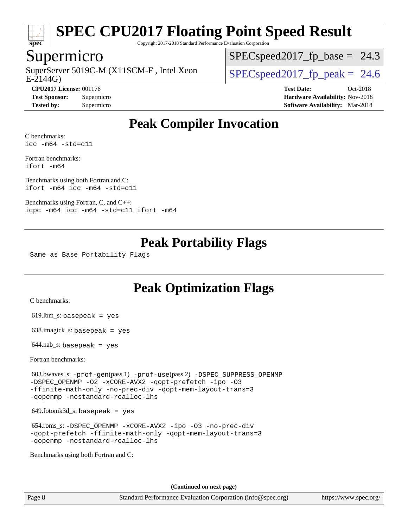

Copyright 2017-2018 Standard Performance Evaluation Corporation

#### Supermicro

E-2144G) SuperServer 5019C-M (X11SCM-F, Intel Xeon  $\vert$  [SPECspeed2017\\_fp\\_peak =](http://www.spec.org/auto/cpu2017/Docs/result-fields.html#SPECspeed2017fppeak) 24.6

 $SPECspeed2017_fp\_base = 24.3$ 

**[CPU2017 License:](http://www.spec.org/auto/cpu2017/Docs/result-fields.html#CPU2017License)** 001176 **[Test Date:](http://www.spec.org/auto/cpu2017/Docs/result-fields.html#TestDate)** Oct-2018 **[Test Sponsor:](http://www.spec.org/auto/cpu2017/Docs/result-fields.html#TestSponsor)** Supermicro **[Hardware Availability:](http://www.spec.org/auto/cpu2017/Docs/result-fields.html#HardwareAvailability)** Nov-2018 **[Tested by:](http://www.spec.org/auto/cpu2017/Docs/result-fields.html#Testedby)** Supermicro **[Software Availability:](http://www.spec.org/auto/cpu2017/Docs/result-fields.html#SoftwareAvailability)** Mar-2018

### **[Peak Compiler Invocation](http://www.spec.org/auto/cpu2017/Docs/result-fields.html#PeakCompilerInvocation)**

[C benchmarks](http://www.spec.org/auto/cpu2017/Docs/result-fields.html#Cbenchmarks): [icc -m64 -std=c11](http://www.spec.org/cpu2017/results/res2018q4/cpu2017-20181112-09597.flags.html#user_CCpeak_intel_icc_64bit_c11_33ee0cdaae7deeeab2a9725423ba97205ce30f63b9926c2519791662299b76a0318f32ddfffdc46587804de3178b4f9328c46fa7c2b0cd779d7a61945c91cd35)

[Fortran benchmarks:](http://www.spec.org/auto/cpu2017/Docs/result-fields.html#Fortranbenchmarks) [ifort -m64](http://www.spec.org/cpu2017/results/res2018q4/cpu2017-20181112-09597.flags.html#user_FCpeak_intel_ifort_64bit_24f2bb282fbaeffd6157abe4f878425411749daecae9a33200eee2bee2fe76f3b89351d69a8130dd5949958ce389cf37ff59a95e7a40d588e8d3a57e0c3fd751)

[Benchmarks using both Fortran and C](http://www.spec.org/auto/cpu2017/Docs/result-fields.html#BenchmarksusingbothFortranandC): [ifort -m64](http://www.spec.org/cpu2017/results/res2018q4/cpu2017-20181112-09597.flags.html#user_CC_FCpeak_intel_ifort_64bit_24f2bb282fbaeffd6157abe4f878425411749daecae9a33200eee2bee2fe76f3b89351d69a8130dd5949958ce389cf37ff59a95e7a40d588e8d3a57e0c3fd751) [icc -m64 -std=c11](http://www.spec.org/cpu2017/results/res2018q4/cpu2017-20181112-09597.flags.html#user_CC_FCpeak_intel_icc_64bit_c11_33ee0cdaae7deeeab2a9725423ba97205ce30f63b9926c2519791662299b76a0318f32ddfffdc46587804de3178b4f9328c46fa7c2b0cd779d7a61945c91cd35)

[Benchmarks using Fortran, C, and C++](http://www.spec.org/auto/cpu2017/Docs/result-fields.html#BenchmarksusingFortranCandCXX): [icpc -m64](http://www.spec.org/cpu2017/results/res2018q4/cpu2017-20181112-09597.flags.html#user_CC_CXX_FCpeak_intel_icpc_64bit_4ecb2543ae3f1412ef961e0650ca070fec7b7afdcd6ed48761b84423119d1bf6bdf5cad15b44d48e7256388bc77273b966e5eb805aefd121eb22e9299b2ec9d9) [icc -m64 -std=c11](http://www.spec.org/cpu2017/results/res2018q4/cpu2017-20181112-09597.flags.html#user_CC_CXX_FCpeak_intel_icc_64bit_c11_33ee0cdaae7deeeab2a9725423ba97205ce30f63b9926c2519791662299b76a0318f32ddfffdc46587804de3178b4f9328c46fa7c2b0cd779d7a61945c91cd35) [ifort -m64](http://www.spec.org/cpu2017/results/res2018q4/cpu2017-20181112-09597.flags.html#user_CC_CXX_FCpeak_intel_ifort_64bit_24f2bb282fbaeffd6157abe4f878425411749daecae9a33200eee2bee2fe76f3b89351d69a8130dd5949958ce389cf37ff59a95e7a40d588e8d3a57e0c3fd751)

#### **[Peak Portability Flags](http://www.spec.org/auto/cpu2017/Docs/result-fields.html#PeakPortabilityFlags)**

Same as Base Portability Flags

### **[Peak Optimization Flags](http://www.spec.org/auto/cpu2017/Docs/result-fields.html#PeakOptimizationFlags)**

[C benchmarks](http://www.spec.org/auto/cpu2017/Docs/result-fields.html#Cbenchmarks):

 $619.$ lbm\_s: basepeak = yes

638.imagick\_s: basepeak = yes

 $644$ .nab\_s: basepeak = yes

[Fortran benchmarks](http://www.spec.org/auto/cpu2017/Docs/result-fields.html#Fortranbenchmarks):

 603.bwaves\_s: [-prof-gen](http://www.spec.org/cpu2017/results/res2018q4/cpu2017-20181112-09597.flags.html#user_peakPASS1_FFLAGSPASS1_LDFLAGS603_bwaves_s_prof_gen_5aa4926d6013ddb2a31985c654b3eb18169fc0c6952a63635c234f711e6e63dd76e94ad52365559451ec499a2cdb89e4dc58ba4c67ef54ca681ffbe1461d6b36)(pass 1) [-prof-use](http://www.spec.org/cpu2017/results/res2018q4/cpu2017-20181112-09597.flags.html#user_peakPASS2_FFLAGSPASS2_LDFLAGS603_bwaves_s_prof_use_1a21ceae95f36a2b53c25747139a6c16ca95bd9def2a207b4f0849963b97e94f5260e30a0c64f4bb623698870e679ca08317ef8150905d41bd88c6f78df73f19)(pass 2) [-DSPEC\\_SUPPRESS\\_OPENMP](http://www.spec.org/cpu2017/results/res2018q4/cpu2017-20181112-09597.flags.html#suite_peakPASS1_FOPTIMIZE603_bwaves_s_DSPEC_SUPPRESS_OPENMP) [-DSPEC\\_OPENMP](http://www.spec.org/cpu2017/results/res2018q4/cpu2017-20181112-09597.flags.html#suite_peakPASS2_FOPTIMIZE603_bwaves_s_DSPEC_OPENMP) [-O2](http://www.spec.org/cpu2017/results/res2018q4/cpu2017-20181112-09597.flags.html#user_peakPASS1_FOPTIMIZE603_bwaves_s_f-O2) [-xCORE-AVX2](http://www.spec.org/cpu2017/results/res2018q4/cpu2017-20181112-09597.flags.html#user_peakPASS2_FOPTIMIZE603_bwaves_s_f-xCORE-AVX2) [-qopt-prefetch](http://www.spec.org/cpu2017/results/res2018q4/cpu2017-20181112-09597.flags.html#user_peakPASS1_FOPTIMIZEPASS2_FOPTIMIZE603_bwaves_s_f-qopt-prefetch) [-ipo](http://www.spec.org/cpu2017/results/res2018q4/cpu2017-20181112-09597.flags.html#user_peakPASS2_FOPTIMIZE603_bwaves_s_f-ipo) [-O3](http://www.spec.org/cpu2017/results/res2018q4/cpu2017-20181112-09597.flags.html#user_peakPASS2_FOPTIMIZE603_bwaves_s_f-O3) [-ffinite-math-only](http://www.spec.org/cpu2017/results/res2018q4/cpu2017-20181112-09597.flags.html#user_peakPASS1_FOPTIMIZEPASS2_FOPTIMIZE603_bwaves_s_f_finite_math_only_cb91587bd2077682c4b38af759c288ed7c732db004271a9512da14a4f8007909a5f1427ecbf1a0fb78ff2a814402c6114ac565ca162485bbcae155b5e4258871) [-no-prec-div](http://www.spec.org/cpu2017/results/res2018q4/cpu2017-20181112-09597.flags.html#user_peakPASS2_FOPTIMIZE603_bwaves_s_f-no-prec-div) [-qopt-mem-layout-trans=3](http://www.spec.org/cpu2017/results/res2018q4/cpu2017-20181112-09597.flags.html#user_peakPASS1_FOPTIMIZEPASS2_FOPTIMIZE603_bwaves_s_f-qopt-mem-layout-trans_de80db37974c74b1f0e20d883f0b675c88c3b01e9d123adea9b28688d64333345fb62bc4a798493513fdb68f60282f9a726aa07f478b2f7113531aecce732043) [-qopenmp](http://www.spec.org/cpu2017/results/res2018q4/cpu2017-20181112-09597.flags.html#user_peakPASS2_FOPTIMIZE603_bwaves_s_qopenmp_16be0c44f24f464004c6784a7acb94aca937f053568ce72f94b139a11c7c168634a55f6653758ddd83bcf7b8463e8028bb0b48b77bcddc6b78d5d95bb1df2967) [-nostandard-realloc-lhs](http://www.spec.org/cpu2017/results/res2018q4/cpu2017-20181112-09597.flags.html#user_peakEXTRA_FOPTIMIZE603_bwaves_s_f_2003_std_realloc_82b4557e90729c0f113870c07e44d33d6f5a304b4f63d4c15d2d0f1fab99f5daaed73bdb9275d9ae411527f28b936061aa8b9c8f2d63842963b95c9dd6426b8a)

 $649.$ fotonik $3d$ <sub>-</sub>s: basepeak = yes

 654.roms\_s: [-DSPEC\\_OPENMP](http://www.spec.org/cpu2017/results/res2018q4/cpu2017-20181112-09597.flags.html#suite_peakFOPTIMIZE654_roms_s_DSPEC_OPENMP) [-xCORE-AVX2](http://www.spec.org/cpu2017/results/res2018q4/cpu2017-20181112-09597.flags.html#user_peakFOPTIMIZE654_roms_s_f-xCORE-AVX2) [-ipo](http://www.spec.org/cpu2017/results/res2018q4/cpu2017-20181112-09597.flags.html#user_peakFOPTIMIZE654_roms_s_f-ipo) [-O3](http://www.spec.org/cpu2017/results/res2018q4/cpu2017-20181112-09597.flags.html#user_peakFOPTIMIZE654_roms_s_f-O3) [-no-prec-div](http://www.spec.org/cpu2017/results/res2018q4/cpu2017-20181112-09597.flags.html#user_peakFOPTIMIZE654_roms_s_f-no-prec-div) [-qopt-prefetch](http://www.spec.org/cpu2017/results/res2018q4/cpu2017-20181112-09597.flags.html#user_peakFOPTIMIZE654_roms_s_f-qopt-prefetch) [-ffinite-math-only](http://www.spec.org/cpu2017/results/res2018q4/cpu2017-20181112-09597.flags.html#user_peakFOPTIMIZE654_roms_s_f_finite_math_only_cb91587bd2077682c4b38af759c288ed7c732db004271a9512da14a4f8007909a5f1427ecbf1a0fb78ff2a814402c6114ac565ca162485bbcae155b5e4258871) [-qopt-mem-layout-trans=3](http://www.spec.org/cpu2017/results/res2018q4/cpu2017-20181112-09597.flags.html#user_peakFOPTIMIZE654_roms_s_f-qopt-mem-layout-trans_de80db37974c74b1f0e20d883f0b675c88c3b01e9d123adea9b28688d64333345fb62bc4a798493513fdb68f60282f9a726aa07f478b2f7113531aecce732043) [-qopenmp](http://www.spec.org/cpu2017/results/res2018q4/cpu2017-20181112-09597.flags.html#user_peakFOPTIMIZE654_roms_s_qopenmp_16be0c44f24f464004c6784a7acb94aca937f053568ce72f94b139a11c7c168634a55f6653758ddd83bcf7b8463e8028bb0b48b77bcddc6b78d5d95bb1df2967) [-nostandard-realloc-lhs](http://www.spec.org/cpu2017/results/res2018q4/cpu2017-20181112-09597.flags.html#user_peakEXTRA_FOPTIMIZE654_roms_s_f_2003_std_realloc_82b4557e90729c0f113870c07e44d33d6f5a304b4f63d4c15d2d0f1fab99f5daaed73bdb9275d9ae411527f28b936061aa8b9c8f2d63842963b95c9dd6426b8a)

[Benchmarks using both Fortran and C](http://www.spec.org/auto/cpu2017/Docs/result-fields.html#BenchmarksusingbothFortranandC):

**(Continued on next page)**